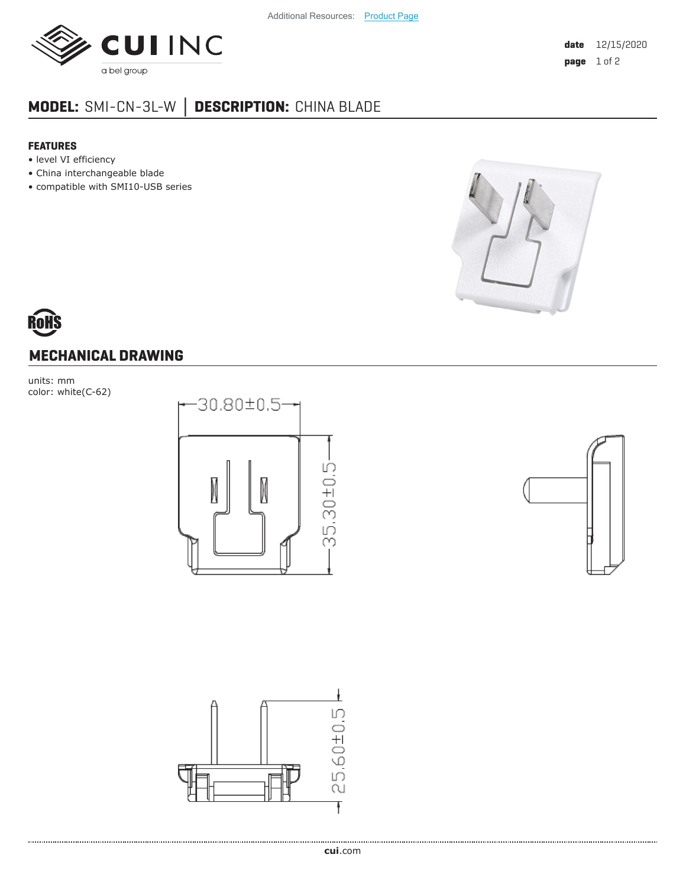

## **MODEL:** SMI-CN-3L-W **│ DESCRIPTION:** CHINA BLADE

## **FEATURES**

- level VI efficiency
- China interchangeable blade
- compatible with SMI10-USB series





## **MECHANICAL DRAWING**

units: mm color: white(C-62)